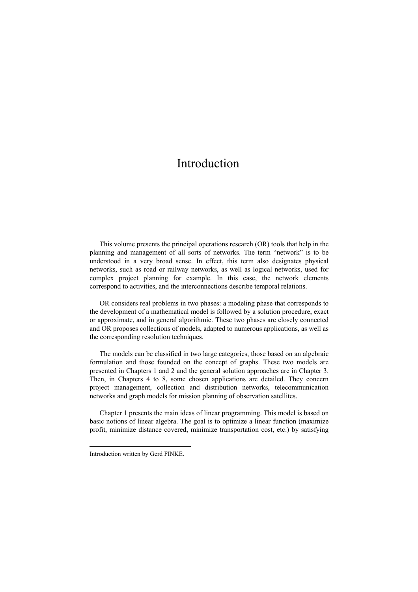## Introduction

This volume presents the principal operations research (OR) tools that help in the planning and management of all sorts of networks. The term "network" is to be understood in a very broad sense. In effect, this term also designates physical networks, such as road or railway networks, as well as logical networks, used for complex project planning for example. In this case, the network elements correspond to activities, and the interconnections describe temporal relations.

OR considers real problems in two phases: a modeling phase that corresponds to the development of a mathematical model is followed by a solution procedure, exact or approximate, and in general algorithmic. These two phases are closely connected and OR proposes collections of models, adapted to numerous applications, as well as the corresponding resolution techniques.

The models can be classified in two large categories, those based on an algebraic formulation and those founded on the concept of graphs. These two models are presented in Chapters 1 and 2 and the general solution approaches are in Chapter 3. Then, in Chapters 4 to 8, some chosen applications are detailed. They concern project management, collection and distribution networks, telecommunication networks and graph models for mission planning of observation satellites.

Chapter 1 presents the main ideas of linear programming. This model is based on basic notions of linear algebra. The goal is to optimize a linear function (maximize profit, minimize distance covered, minimize transportation cost, etc.) by satisfying

 $\overline{a}$ 

Introduction written by Gerd FINKE.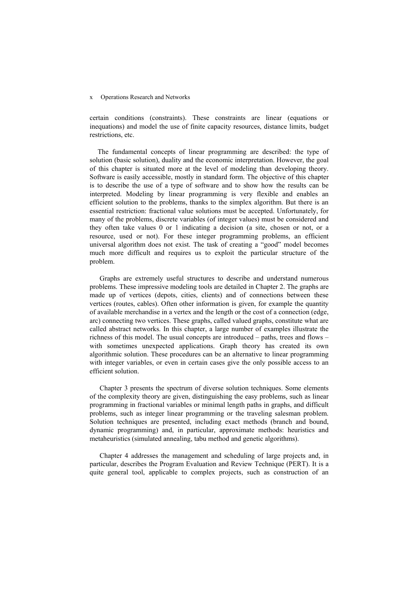## x Operations Research and Networks

certain conditions (constraints). These constraints are linear (equations or inequations) and model the use of finite capacity resources, distance limits, budget restrictions, etc.

The fundamental concepts of linear programming are described: the type of solution (basic solution), duality and the economic interpretation. However, the goal of this chapter is situated more at the level of modeling than developing theory. Software is easily accessible, mostly in standard form. The objective of this chapter is to describe the use of a type of software and to show how the results can be interpreted. Modeling by linear programming is very flexible and enables an efficient solution to the problems, thanks to the simplex algorithm. But there is an essential restriction: fractional value solutions must be accepted. Unfortunately, for many of the problems, discrete variables (of integer values) must be considered and they often take values 0 or 1 indicating a decision (a site, chosen or not, or a resource, used or not). For these integer programming problems, an efficient universal algorithm does not exist. The task of creating a "good" model becomes much more difficult and requires us to exploit the particular structure of the problem.

Graphs are extremely useful structures to describe and understand numerous problems. These impressive modeling tools are detailed in Chapter 2. The graphs are made up of vertices (depots, cities, clients) and of connections between these vertices (routes, cables). Often other information is given, for example the quantity of available merchandise in a vertex and the length or the cost of a connection (edge, arc) connecting two vertices. These graphs, called valued graphs, constitute what are called abstract networks. In this chapter, a large number of examples illustrate the richness of this model. The usual concepts are introduced – paths, trees and flows – with sometimes unexpected applications. Graph theory has created its own algorithmic solution. These procedures can be an alternative to linear programming with integer variables, or even in certain cases give the only possible access to an efficient solution.

Chapter 3 presents the spectrum of diverse solution techniques. Some elements of the complexity theory are given, distinguishing the easy problems, such as linear programming in fractional variables or minimal length paths in graphs, and difficult problems, such as integer linear programming or the traveling salesman problem. Solution techniques are presented, including exact methods (branch and bound, dynamic programming) and, in particular, approximate methods: heuristics and metaheuristics (simulated annealing, tabu method and genetic algorithms).

Chapter 4 addresses the management and scheduling of large projects and, in particular, describes the Program Evaluation and Review Technique (PERT). It is a quite general tool, applicable to complex projects, such as construction of an